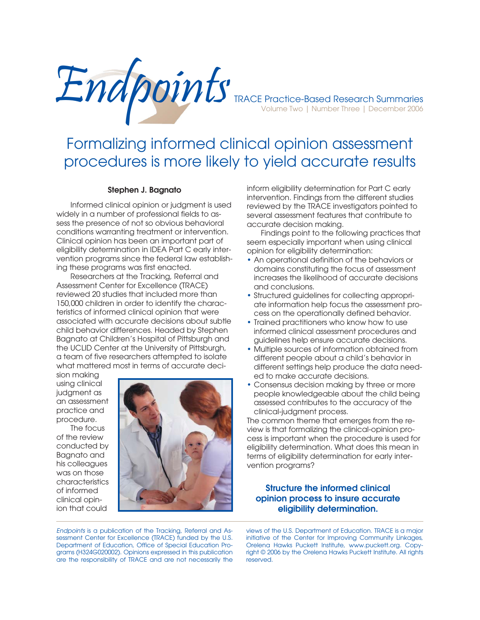

# Formalizing informed clinical opinion assessment procedures is more likely to yield accurate results

#### **Stephen J. Bagnato**

Informed clinical opinion or judgment is used widely in a number of professional fields to assess the presence of not so obvious behavioral conditions warranting treatment or intervention. Clinical opinion has been an important part of eligibility determination in IDEA Part C early intervention programs since the federal law establishing these programs was first enacted.

 Researchers at the Tracking, Referral and Assessment Center for Excellence (TRACE) reviewed 20 studies that included more than 150,000 children in order to identify the characteristics of informed clinical opinion that were associated with accurate decisions about subtle child behavior differences. Headed by Stephen Bagnato at Children's Hospital of Pittsburgh and the UCLID Center at the University of Pittsburgh, a team of five researchers attempted to isolate what mattered most in terms of accurate deci-

sion making using clinical judgment as an assessment practice and procedure.

 The focus of the review conducted by Bagnato and his colleagues was on those characteristics of informed clinical opinion that could



inform eligibility determination for Part C early intervention. Findings from the different studies reviewed by the TRACE investigators pointed to several assessment features that contribute to accurate decision making.

 Findings point to the following practices that seem especially important when using clinical opinion for eligibility determination:

- An operational definition of the behaviors or domains constituting the focus of assessment increases the likelihood of accurate decisions and conclusions.
- Structured guidelines for collecting appropriate information help focus the assessment process on the operationally defined behavior.
- Trained practitioners who know how to use informed clinical assessment procedures and guidelines help ensure accurate decisions.
- Multiple sources of information obtained from different people about a child's behavior in different settings help produce the data needed to make accurate decisions.
- Consensus decision making by three or more people knowledgeable about the child being assessed contributes to the accuracy of the clinical-judgment process.

The common theme that emerges from the review is that formalizing the clinical-opinion process is important when the procedure is used for eligibility determination. What does this mean in terms of eligibility determination for early intervention programs?

### **Structure the informed clinical opinion process to insure accurate eligibility determination.**

*Endpoints* is a publication of the Tracking, Referral and Assessment Center for Excellence (TRACE) funded by the U.S. Department of Education, Office of Special Education Programs (H324G020002). Opinions expressed in this publication are the responsibility of TRACE and are not necessarily the

views of the U.S. Department of Education. TRACE is a major initiative of the Center for Improving Community Linkages, Orelena Hawks Puckett Institute, www.puckett.org. Copyright © 2006 by the Orelena Hawks Puckett Institute. All rights reserved.